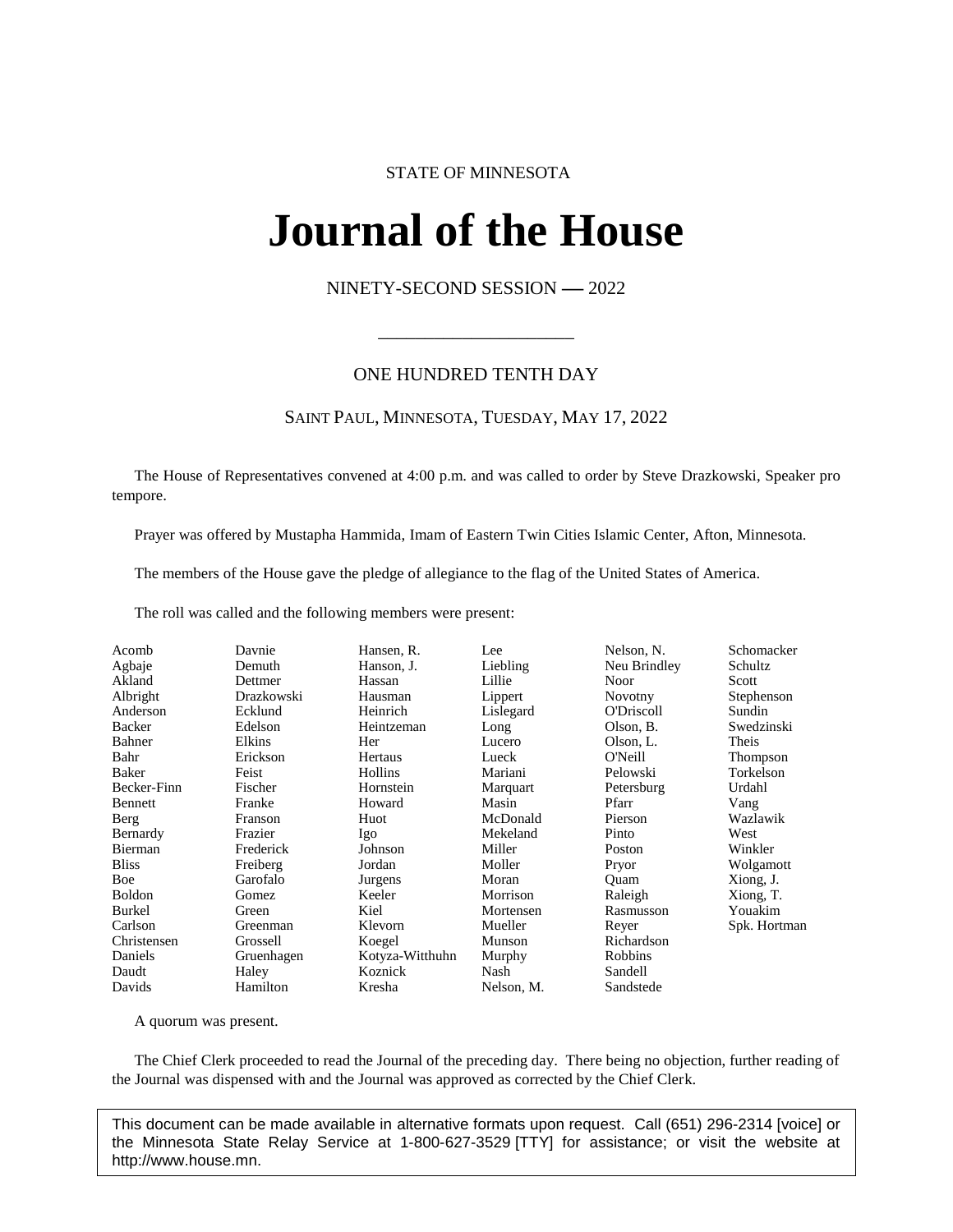# STATE OF MINNESOTA

# **Journal of the House IFINAL OL UNE FIOI**<br>NINETY-SECOND SESSION -- 2022

\_\_\_\_\_\_\_\_\_\_\_\_\_\_\_\_\_\_\_\_\_

# ONE HUNDRED TENTH DAY

# SAINT PAUL, MINNESOTA, TUESDAY, MAY 17, 2022

The House of Representatives convened at 4:00 p.m. and was called to order by Steve Drazkowski, Speaker pro tempore.

Prayer was offered by Mustapha Hammida, Imam of Eastern Twin Cities Islamic Center, Afton, Minnesota.

The members of the House gave the pledge of allegiance to the flag of the United States of America.

The roll was called and the following members were present:

| Thompson<br>Torkelson<br>Urdahl<br>Vang<br>Wazlawik<br>West<br>Winkler<br>Wolgamott<br>Xiong, J.<br>Xiong, T.<br>Youakim<br>Rasmusson<br>Spk. Hortman<br>Richardson |
|---------------------------------------------------------------------------------------------------------------------------------------------------------------------|
|                                                                                                                                                                     |
|                                                                                                                                                                     |

A quorum was present.

The Chief Clerk proceeded to read the Journal of the preceding day. There being no objection, further reading of the Journal was dispensed with and the Journal was approved as corrected by the Chief Clerk.

This document can be made available in alternative formats upon request. Call (651) 296-2314 [voice] or the Minnesota State Relay Service at 1-800-627-3529 [TTY] for assistance; or visit the website at http://www.house.mn.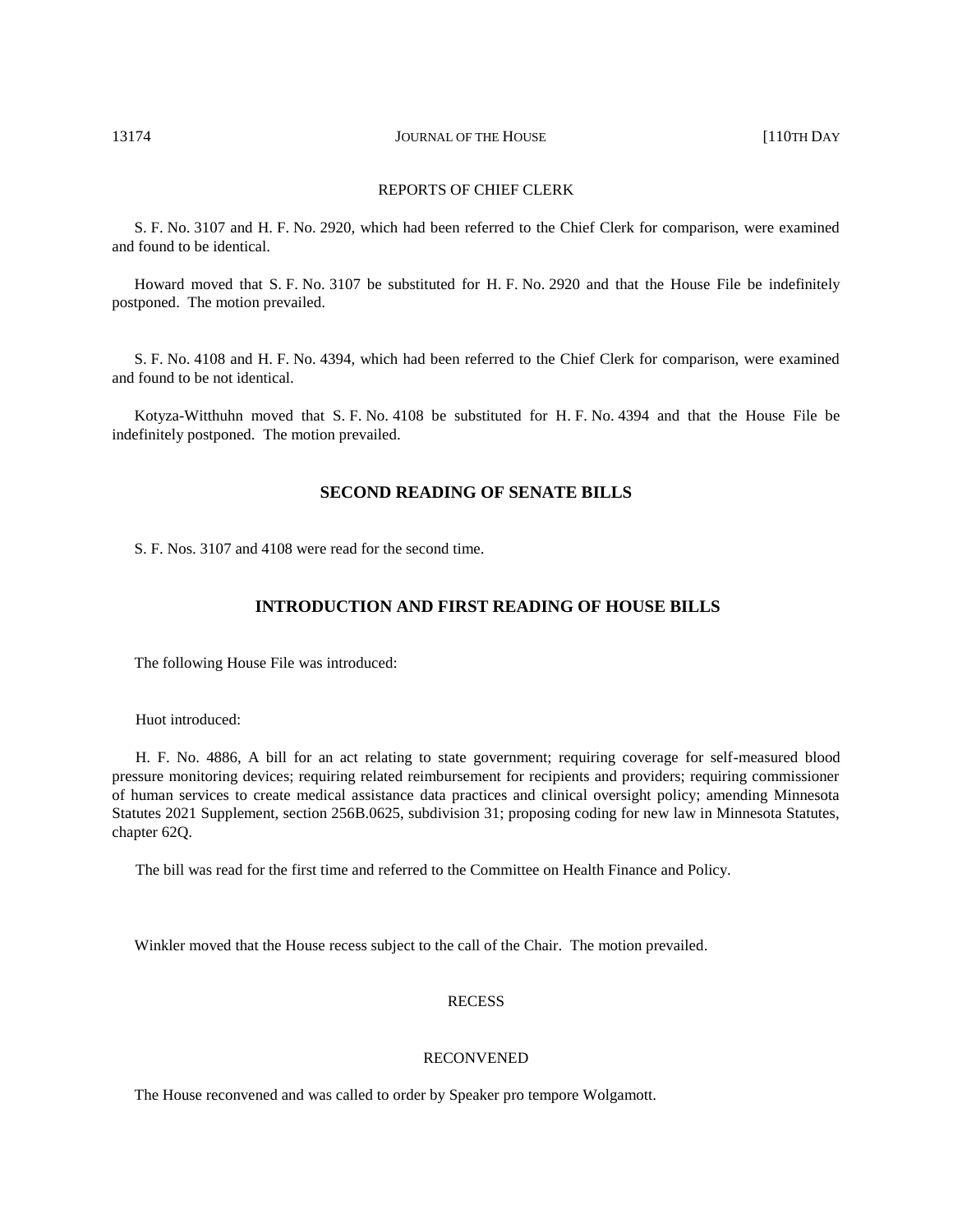# REPORTS OF CHIEF CLERK

S. F. No. 3107 and H. F. No. 2920, which had been referred to the Chief Clerk for comparison, were examined and found to be identical.

Howard moved that S. F. No. 3107 be substituted for H. F. No. 2920 and that the House File be indefinitely postponed. The motion prevailed.

S. F. No. 4108 and H. F. No. 4394, which had been referred to the Chief Clerk for comparison, were examined and found to be not identical.

Kotyza-Witthuhn moved that S. F. No. 4108 be substituted for H. F. No. 4394 and that the House File be indefinitely postponed. The motion prevailed.

# **SECOND READING OF SENATE BILLS**

S. F. Nos. 3107 and 4108 were read for the second time.

# **INTRODUCTION AND FIRST READING OF HOUSE BILLS**

The following House File was introduced:

Huot introduced:

H. F. No. 4886, A bill for an act relating to state government; requiring coverage for self-measured blood pressure monitoring devices; requiring related reimbursement for recipients and providers; requiring commissioner of human services to create medical assistance data practices and clinical oversight policy; amending Minnesota Statutes 2021 Supplement, section 256B.0625, subdivision 31; proposing coding for new law in Minnesota Statutes, chapter 62Q.

The bill was read for the first time and referred to the Committee on Health Finance and Policy.

Winkler moved that the House recess subject to the call of the Chair. The motion prevailed.

# RECESS

# RECONVENED

The House reconvened and was called to order by Speaker pro tempore Wolgamott.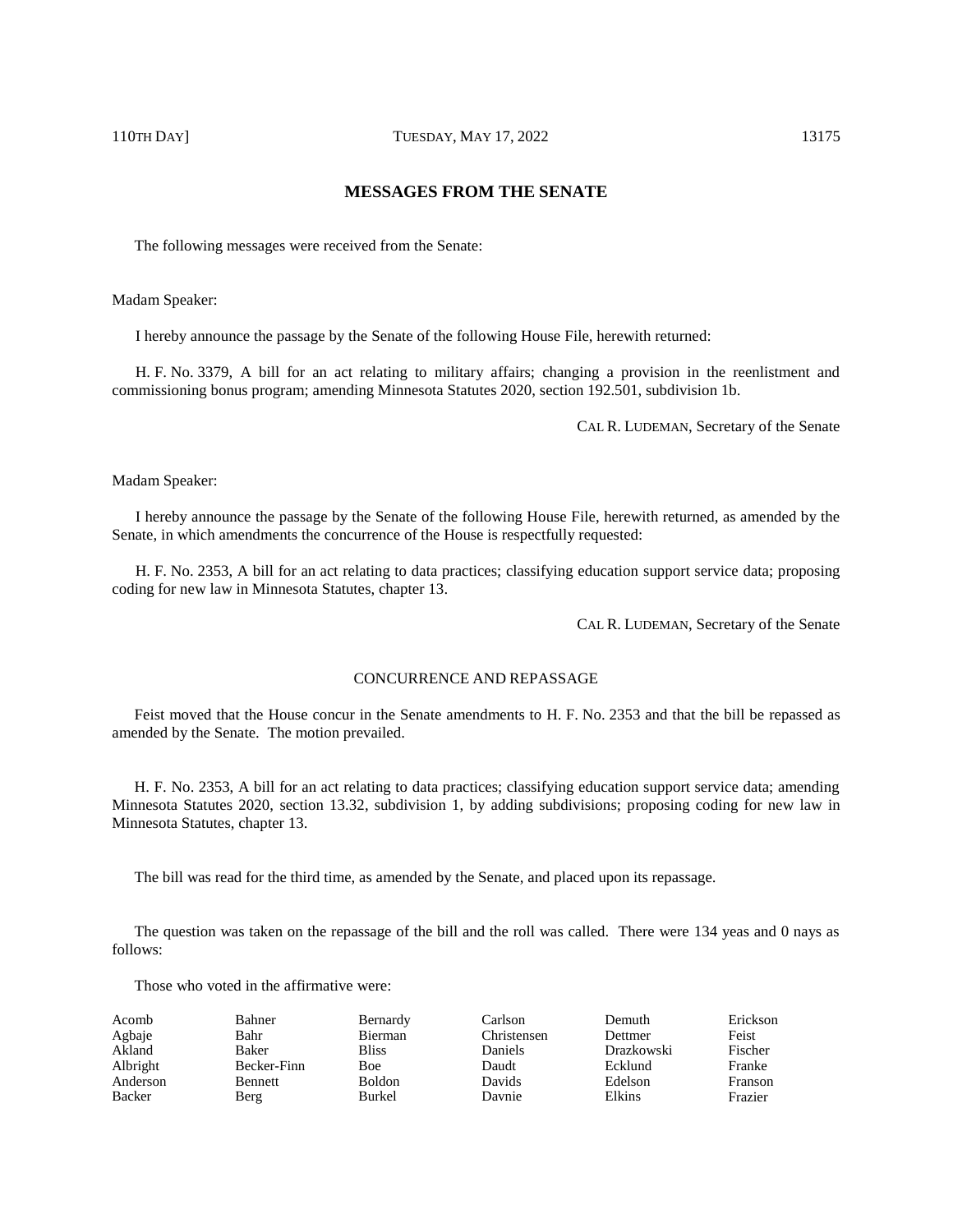# **MESSAGES FROM THE SENATE**

The following messages were received from the Senate:

Madam Speaker:

I hereby announce the passage by the Senate of the following House File, herewith returned:

H. F. No. 3379, A bill for an act relating to military affairs; changing a provision in the reenlistment and commissioning bonus program; amending Minnesota Statutes 2020, section 192.501, subdivision 1b.

CAL R. LUDEMAN, Secretary of the Senate

Madam Speaker:

I hereby announce the passage by the Senate of the following House File, herewith returned, as amended by the Senate, in which amendments the concurrence of the House is respectfully requested:

H. F. No. 2353, A bill for an act relating to data practices; classifying education support service data; proposing coding for new law in Minnesota Statutes, chapter 13.

CAL R. LUDEMAN, Secretary of the Senate

# CONCURRENCE AND REPASSAGE

Feist moved that the House concur in the Senate amendments to H. F. No. 2353 and that the bill be repassed as amended by the Senate. The motion prevailed.

H. F. No. 2353, A bill for an act relating to data practices; classifying education support service data; amending Minnesota Statutes 2020, section 13.32, subdivision 1, by adding subdivisions; proposing coding for new law in Minnesota Statutes, chapter 13.

The bill was read for the third time, as amended by the Senate, and placed upon its repassage.

The question was taken on the repassage of the bill and the roll was called. There were 134 yeas and 0 nays as follows:

| Acomb    | Bahner      | Bernardy      | Carlson        | Demuth     | Erickson |
|----------|-------------|---------------|----------------|------------|----------|
| Agbaje   | Bahr        | Bierman       | Christensen    | Dettmer    | Feist    |
| Akland   | Baker       | <b>Bliss</b>  | <b>Daniels</b> | Drazkowski | Fischer  |
| Albright | Becker-Finn | <b>Boe</b>    | Daudt          | Ecklund    | Franke   |
| Anderson | Bennett     | <b>Boldon</b> | Davids         | Edelson    | Franson  |
| Backer   | Berg        | Burkel        | Davnie         | Elkins     | Frazier  |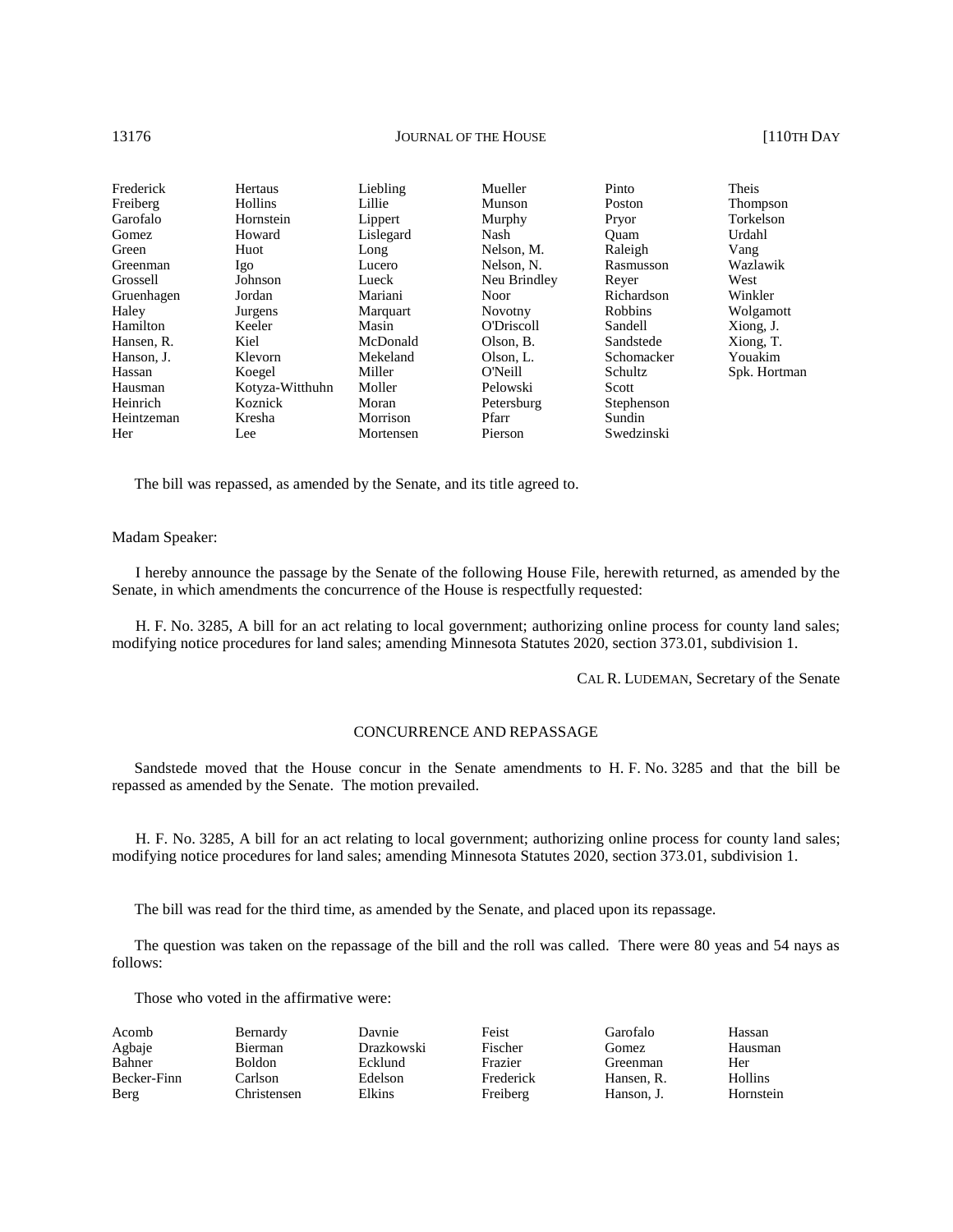# 13176 **JOURNAL OF THE HOUSE COMPANY JOURNAL OF THE HOUSE 110TH DAY**

| Frederick  | Hertaus         | Liebling  | Mueller      | Pinto      | <b>Theis</b> |
|------------|-----------------|-----------|--------------|------------|--------------|
| Freiberg   | <b>Hollins</b>  | Lillie    | Munson       | Poston     | Thompson     |
| Garofalo   | Hornstein       | Lippert   | Murphy       | Pryor      | Torkelson    |
| Gomez      | Howard          | Lislegard | Nash         | Ouam       | Urdahl       |
| Green      | Huot            | Long      | Nelson, M.   | Raleigh    | Vang         |
| Greenman   | Igo             | Lucero    | Nelson, N.   | Rasmusson  | Wazlawik     |
| Grossell   | Johnson         | Lueck     | Neu Brindley | Rever      | West         |
| Gruenhagen | Jordan          | Mariani   | <b>Noor</b>  | Richardson | Winkler      |
| Haley      | Jurgens         | Marquart  | Novotny      | Robbins    | Wolgamott    |
| Hamilton   | Keeler          | Masin     | O'Driscoll   | Sandell    | Xiong, J.    |
| Hansen, R. | Kiel            | McDonald  | Olson, B.    | Sandstede  | Xiong, T.    |
| Hanson. J. | Klevorn         | Mekeland  | Olson, L.    | Schomacker | Youakim      |
| Hassan     | Koegel          | Miller    | O'Neill      | Schultz    | Spk. Hortman |
| Hausman    | Kotyza-Witthuhn | Moller    | Pelowski     | Scott      |              |
| Heinrich   | Koznick         | Moran     | Petersburg   | Stephenson |              |
| Heintzeman | Kresha          | Morrison  | Pfarr        | Sundin     |              |
| Her        | Lee             | Mortensen | Pierson      | Swedzinski |              |

The bill was repassed, as amended by the Senate, and its title agreed to.

### Madam Speaker:

I hereby announce the passage by the Senate of the following House File, herewith returned, as amended by the Senate, in which amendments the concurrence of the House is respectfully requested:

H. F. No. 3285, A bill for an act relating to local government; authorizing online process for county land sales; modifying notice procedures for land sales; amending Minnesota Statutes 2020, section 373.01, subdivision 1.

CAL R. LUDEMAN, Secretary of the Senate

# CONCURRENCE AND REPASSAGE

Sandstede moved that the House concur in the Senate amendments to H. F. No. 3285 and that the bill be repassed as amended by the Senate. The motion prevailed.

H. F. No. 3285, A bill for an act relating to local government; authorizing online process for county land sales; modifying notice procedures for land sales; amending Minnesota Statutes 2020, section 373.01, subdivision 1.

The bill was read for the third time, as amended by the Senate, and placed upon its repassage.

The question was taken on the repassage of the bill and the roll was called. There were 80 yeas and 54 nays as follows:

| Acomb       | Bernardy      | Davnie     | Feist     | Garofalo   | Hassan    |
|-------------|---------------|------------|-----------|------------|-----------|
| Agbaje      | Bierman       | Drazkowski | Fischer   | Gomez      | Hausman   |
| Bahner      | <b>Boldon</b> | Ecklund    | Frazier   | Greenman   | Her       |
| Becker-Finn | Carlson       | Edelson    | Frederick | Hansen, R. | Hollins   |
| Berg        | Christensen   | Elkins     | Freiberg  | Hanson, J. | Hornstein |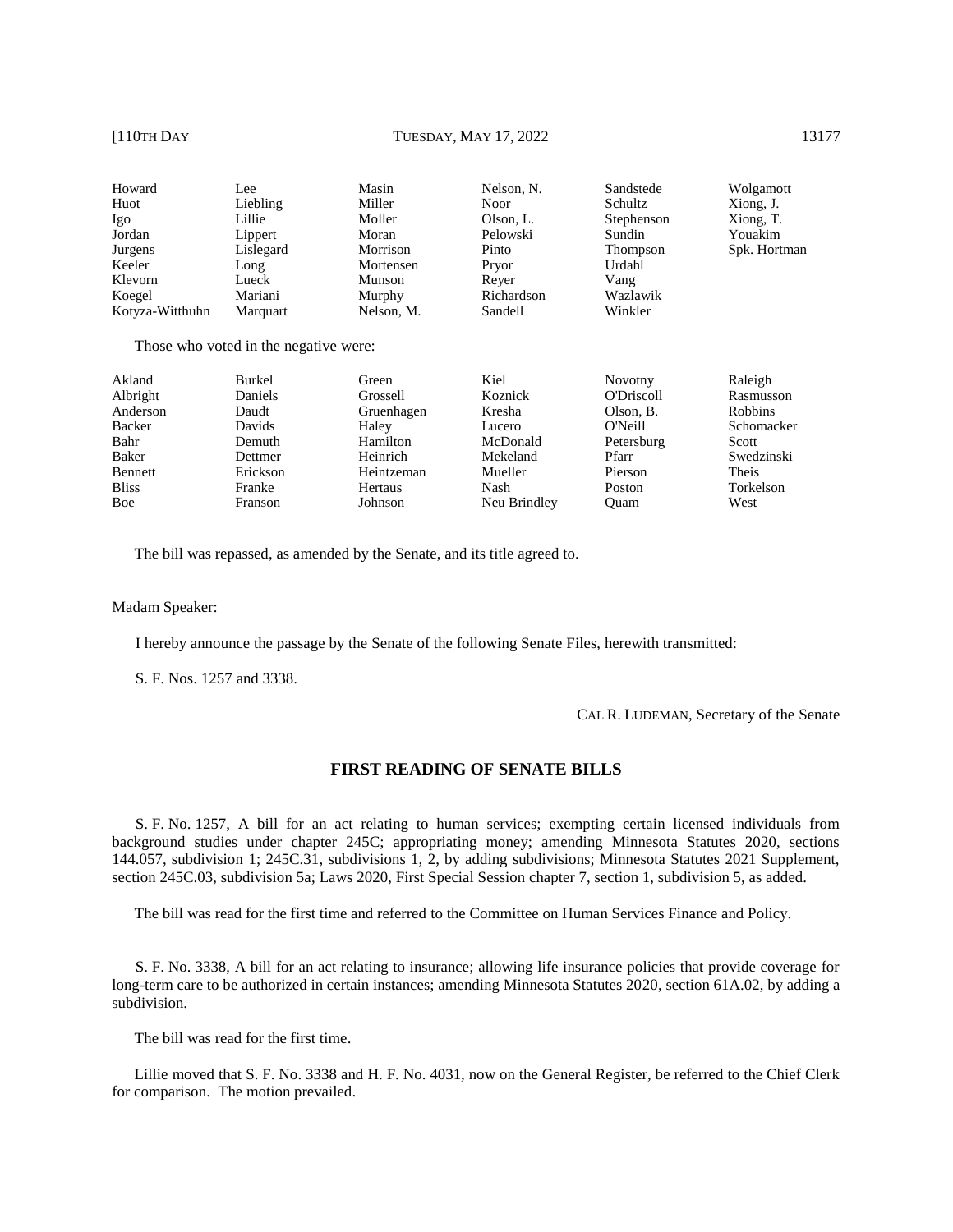| Howard                         | Lee                                       | Masin      | Nelson, N. | Sandstede  | Wolgamott    |
|--------------------------------|-------------------------------------------|------------|------------|------------|--------------|
| Huot                           | Liebling                                  | Miller     | Noor       | Schultz    | Xiong, J.    |
| Igo                            | Lillie                                    | Moller     | Olson, L.  | Stephenson | Xiong, T.    |
| Jordan                         | Lippert                                   | Moran      | Pelowski   | Sundin     | Youakim      |
| Jurgens                        | Lislegard                                 | Morrison   | Pinto      | Thompson   | Spk. Hortman |
| Keeler                         | Long                                      | Mortensen  | Pryor      | Urdahl     |              |
| Klevorn                        | Lueck                                     | Munson     | Rever      | Vang       |              |
| Koegel                         | Mariani                                   | Murphy     | Richardson | Wazlawik   |              |
| Kotyza-Witthuhn                | Marquart                                  | Nelson, M. | Sandell    | Winkler    |              |
| T <sub>1</sub><br>$\mathbf{1}$ | $\sim$ $\sim$ $\sim$ $\sim$ $\sim$ $\sim$ |            |            |            |              |

Those who voted in the negative were:

| Akland       | <b>Burkel</b> | Green      | Kiel         | Novotny    | Raleigh        |
|--------------|---------------|------------|--------------|------------|----------------|
| Albright     | Daniels       | Grossell   | Koznick      | O'Driscoll | Rasmusson      |
| Anderson     | Daudt         | Gruenhagen | Kresha       | Olson, B.  | <b>Robbins</b> |
| Backer       | Davids        | Haley      | Lucero       | O'Neill    | Schomacker     |
| Bahr         | Demuth        | Hamilton   | McDonald     | Petersburg | Scott          |
| Baker        | Dettmer       | Heinrich   | Mekeland     | Pfarr      | Swedzinski     |
| Bennett      | Erickson      | Heintzeman | Mueller      | Pierson    | Theis          |
| <b>Bliss</b> | Franke        | Hertaus    | Nash         | Poston     | Torkelson      |
| Boe          | Franson       | Johnson    | Neu Brindley | Ouam       | West           |
|              |               |            |              |            |                |

The bill was repassed, as amended by the Senate, and its title agreed to.

Madam Speaker:

I hereby announce the passage by the Senate of the following Senate Files, herewith transmitted:

S. F. Nos. 1257 and 3338.

CAL R. LUDEMAN, Secretary of the Senate

# **FIRST READING OF SENATE BILLS**

S. F. No. 1257, A bill for an act relating to human services; exempting certain licensed individuals from background studies under chapter 245C; appropriating money; amending Minnesota Statutes 2020, sections 144.057, subdivision 1; 245C.31, subdivisions 1, 2, by adding subdivisions; Minnesota Statutes 2021 Supplement, section 245C.03, subdivision 5a; Laws 2020, First Special Session chapter 7, section 1, subdivision 5, as added.

The bill was read for the first time and referred to the Committee on Human Services Finance and Policy.

S. F. No. 3338, A bill for an act relating to insurance; allowing life insurance policies that provide coverage for long-term care to be authorized in certain instances; amending Minnesota Statutes 2020, section 61A.02, by adding a subdivision.

The bill was read for the first time.

Lillie moved that S. F. No. 3338 and H. F. No. 4031, now on the General Register, be referred to the Chief Clerk for comparison. The motion prevailed.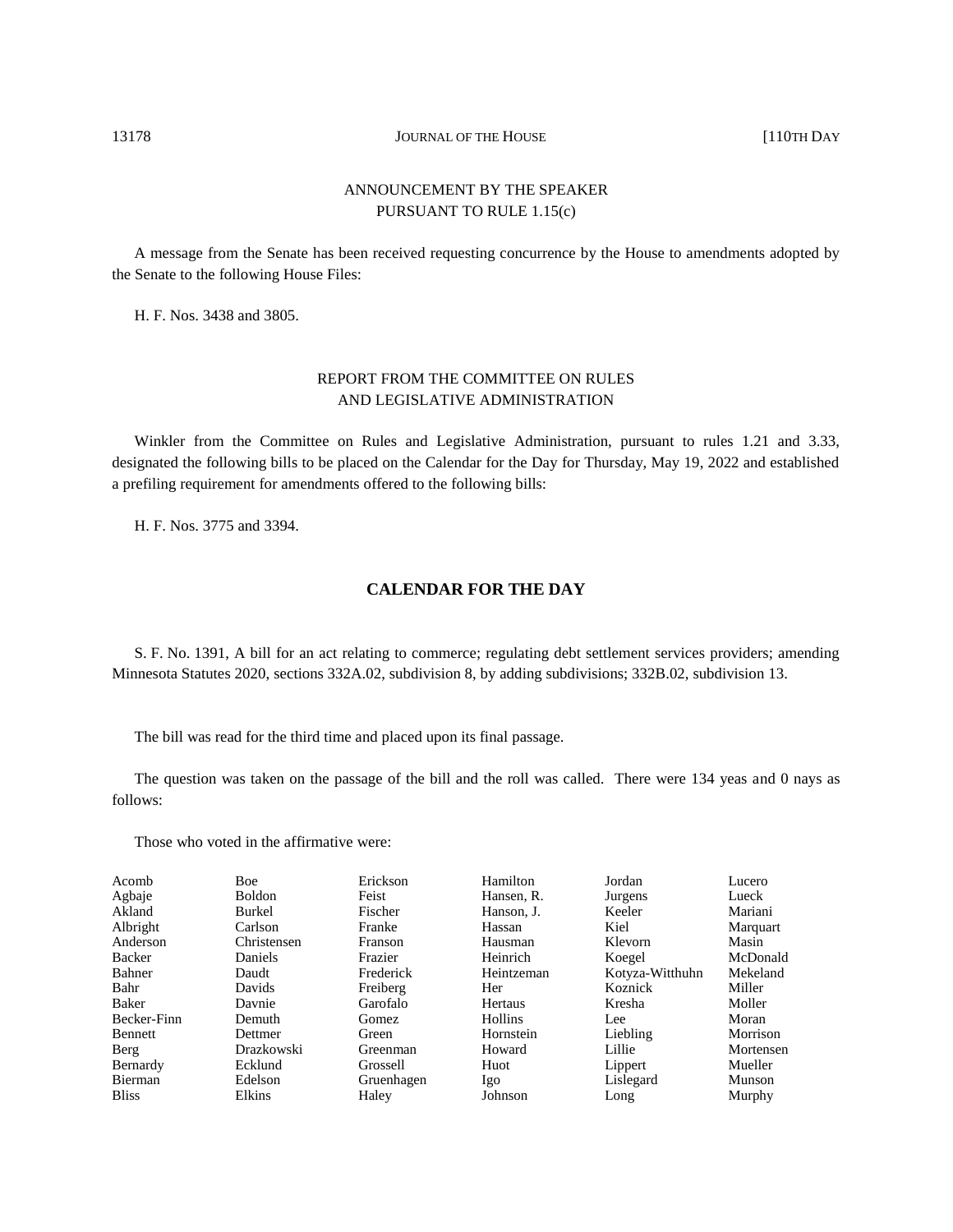# ANNOUNCEMENT BY THE SPEAKER PURSUANT TO RULE 1.15(c)

A message from the Senate has been received requesting concurrence by the House to amendments adopted by the Senate to the following House Files:

H. F. Nos. 3438 and 3805.

# REPORT FROM THE COMMITTEE ON RULES AND LEGISLATIVE ADMINISTRATION

Winkler from the Committee on Rules and Legislative Administration, pursuant to rules 1.21 and 3.33, designated the following bills to be placed on the Calendar for the Day for Thursday, May 19, 2022 and established a prefiling requirement for amendments offered to the following bills:

H. F. Nos. 3775 and 3394.

# **CALENDAR FOR THE DAY**

S. F. No. 1391, A bill for an act relating to commerce; regulating debt settlement services providers; amending Minnesota Statutes 2020, sections 332A.02, subdivision 8, by adding subdivisions; 332B.02, subdivision 13.

The bill was read for the third time and placed upon its final passage.

The question was taken on the passage of the bill and the roll was called. There were 134 yeas and 0 nays as follows:

| Acomb        | <b>Boe</b>  | Erickson   | Hamilton       | Jordan          | Lucero    |
|--------------|-------------|------------|----------------|-----------------|-----------|
| Agbaje       | Boldon      | Feist      | Hansen, R.     | Jurgens         | Lueck     |
| Akland       | Burkel      | Fischer    | Hanson, J.     | Keeler          | Mariani   |
| Albright     | Carlson     | Franke     | Hassan         | Kiel            | Marquart  |
| Anderson     | Christensen | Franson    | Hausman        | Klevorn         | Masin     |
| Backer       | Daniels     | Frazier    | Heinrich       | Koegel          | McDonald  |
| Bahner       | Daudt       | Frederick  | Heintzeman     | Kotyza-Witthuhn | Mekeland  |
| Bahr         | Davids      | Freiberg   | Her            | Koznick         | Miller    |
| Baker        | Davnie      | Garofalo   | Hertaus        | Kresha          | Moller    |
| Becker-Finn  | Demuth      | Gomez      | <b>Hollins</b> | Lee             | Moran     |
| Bennett      | Dettmer     | Green      | Hornstein      | Liebling        | Morrison  |
| Berg         | Drazkowski  | Greenman   | Howard         | Lillie          | Mortensen |
| Bernardy     | Ecklund     | Grossell   | Huot           | Lippert         | Mueller   |
| Bierman      | Edelson     | Gruenhagen | Igo            | Lislegard       | Munson    |
| <b>Bliss</b> | Elkins      | Haley      | Johnson        | Long            | Murphy    |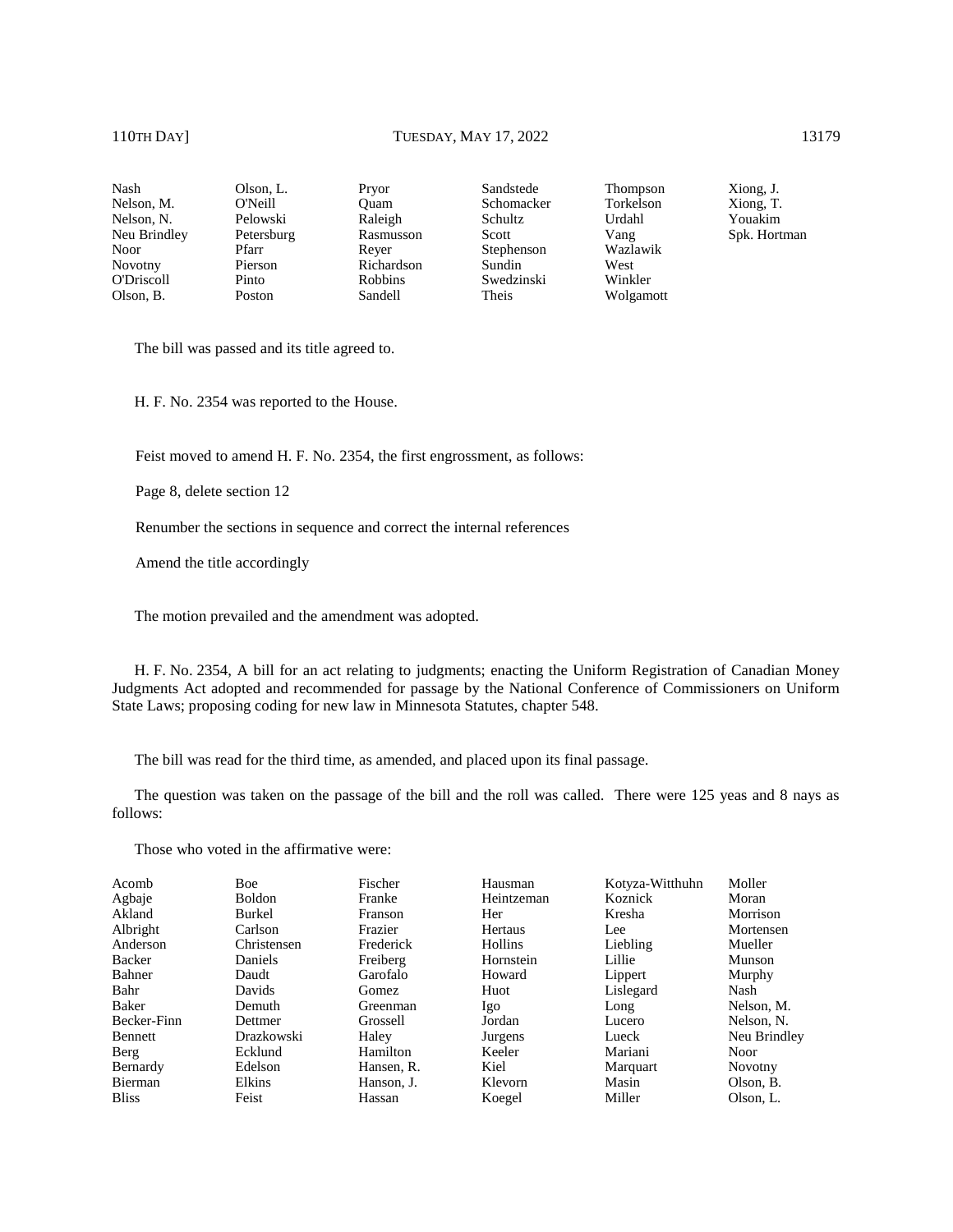Xiong, J. Xiong, T. Youakim Spk. Hortman

Nash Nelson, M. Nelson, N. Neu Brindley Noor Novotny O'Driscoll Olson, B.

Olson, L. O'Neill Pelowski Petersburg Pfarr Pierson Pinto Poston

Sandstede Schomacker Schultz Scott Stephenson Sundin Swedzinski Theis

Thompson Torkelson Urdahl Vang Wazlawik West Winkler Wolgamott

The bill was passed and its title agreed to.

H. F. No. 2354 was reported to the House.

Feist moved to amend H. F. No. 2354, the first engrossment, as follows:

Pryor Quam Raleigh Rasmusson Reyer Richardson Robbins Sandell

Page 8, delete section 12

Renumber the sections in sequence and correct the internal references

Amend the title accordingly

The motion prevailed and the amendment was adopted.

H. F. No. 2354, A bill for an act relating to judgments; enacting the Uniform Registration of Canadian Money Judgments Act adopted and recommended for passage by the National Conference of Commissioners on Uniform State Laws; proposing coding for new law in Minnesota Statutes, chapter 548.

The bill was read for the third time, as amended, and placed upon its final passage.

The question was taken on the passage of the bill and the roll was called. There were 125 yeas and 8 nays as follows:

| Acomb        | Boe         | Fischer    | Hausman    | Kotyza-Witthuhn | Moller       |
|--------------|-------------|------------|------------|-----------------|--------------|
| Agbaje       | Boldon      | Franke     | Heintzeman | Koznick         | Moran        |
| Akland       | Burkel      | Franson    | Her        | Kresha          | Morrison     |
| Albright     | Carlson     | Frazier    | Hertaus    | Lee             | Mortensen    |
| Anderson     | Christensen | Frederick  | Hollins    | Liebling        | Mueller      |
| Backer       | Daniels     | Freiberg   | Hornstein  | Lillie          | Munson       |
| Bahner       | Daudt       | Garofalo   | Howard     | Lippert         | Murphy       |
| Bahr         | Davids      | Gomez      | Huot       | Lislegard       | Nash         |
| Baker        | Demuth      | Greenman   | Igo        | Long            | Nelson, M.   |
| Becker-Finn  | Dettmer     | Grossell   | Jordan     | Lucero          | Nelson, N.   |
| Bennett      | Drazkowski  | Haley      | Jurgens    | Lueck           | Neu Brindley |
| Berg         | Ecklund     | Hamilton   | Keeler     | Mariani         | <b>Noor</b>  |
| Bernardy     | Edelson     | Hansen, R. | Kiel       | Marquart        | Novotny      |
| Bierman      | Elkins      | Hanson, J. | Klevorn    | Masin           | Olson, B.    |
| <b>Bliss</b> | Feist       | Hassan     | Koegel     | Miller          | Olson, L.    |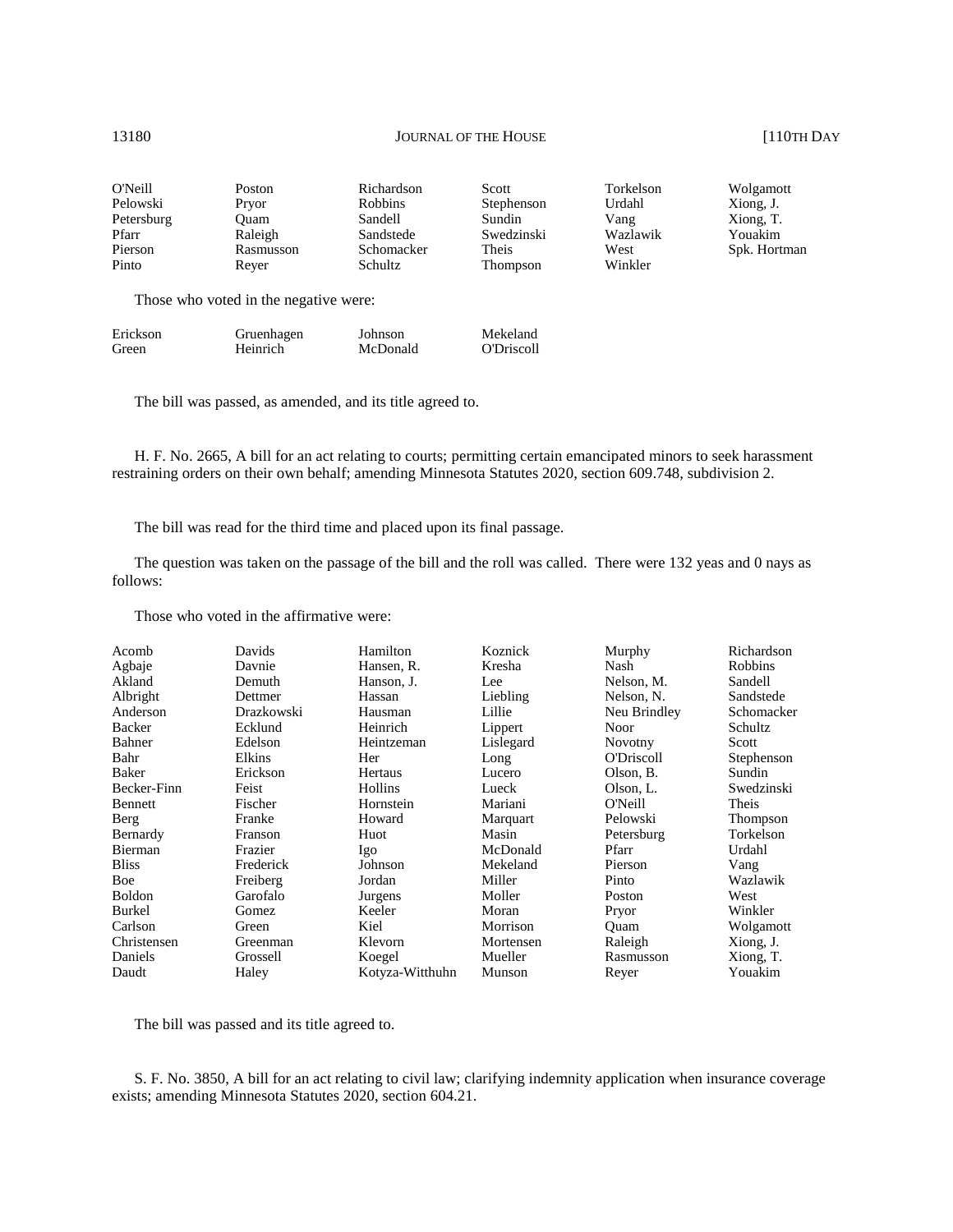| O'Neill    | Poston                                | Richardson     | Scott           | Torkelson | Wolgamott    |
|------------|---------------------------------------|----------------|-----------------|-----------|--------------|
| Pelowski   | Pryor                                 | <b>Robbins</b> | Stephenson      | Urdahl    | Xiong, J.    |
| Petersburg | Ouam                                  | Sandell        | Sundin          | Vang      | Xiong, T.    |
| Pfarr      | Raleigh                               | Sandstede      | Swedzinski      | Wazlawik  | Youakim      |
| Pierson    | Rasmusson                             | Schomacker     | Theis           | West      | Spk. Hortman |
| Pinto      | Rever                                 | Schultz        | <b>Thompson</b> | Winkler   |              |
|            | Those who voted in the negative were: |                |                 |           |              |

Erickson Green Gruenhagen **Heinrich** Johnson McDonald Mekeland O'Driscoll

The bill was passed, as amended, and its title agreed to.

H. F. No. 2665, A bill for an act relating to courts; permitting certain emancipated minors to seek harassment restraining orders on their own behalf; amending Minnesota Statutes 2020, section 609.748, subdivision 2.

The bill was read for the third time and placed upon its final passage.

The question was taken on the passage of the bill and the roll was called. There were 132 yeas and 0 nays as follows:

Those who voted in the affirmative were:

| Acomb         | Davids     | Hamilton        | Koznick   | Murphy         | Richardson     |
|---------------|------------|-----------------|-----------|----------------|----------------|
| Agbaje        | Davnie     | Hansen, R.      | Kresha    | Nash           | <b>Robbins</b> |
| Akland        | Demuth     | Hanson, J.      | Lee       | Nelson, M.     | Sandell        |
| Albright      | Dettmer    | Hassan          | Liebling  | Nelson, N.     | Sandstede      |
| Anderson      | Drazkowski | Hausman         | Lillie    | Neu Brindley   | Schomacker     |
| Backer        | Ecklund    | Heinrich        | Lippert   | <b>Noor</b>    | Schultz        |
| Bahner        | Edelson    | Heintzeman      | Lislegard | <b>Novotny</b> | Scott          |
| Bahr          | Elkins     | Her             | Long      | O'Driscoll     | Stephenson     |
| Baker         | Erickson   | Hertaus         | Lucero    | Olson, B.      | Sundin         |
| Becker-Finn   | Feist      | Hollins         | Lueck     | Olson, L.      | Swedzinski     |
| Bennett       | Fischer    | Hornstein       | Mariani   | O'Neill        | Theis          |
| Berg          | Franke     | Howard          | Marquart  | Pelowski       | Thompson       |
| Bernardy      | Franson    | Huot            | Masin     | Petersburg     | Torkelson      |
| Bierman       | Frazier    | Igo             | McDonald  | Pfarr          | Urdahl         |
| <b>Bliss</b>  | Frederick  | Johnson         | Mekeland  | Pierson        | Vang           |
| Boe           | Freiberg   | Jordan          | Miller    | Pinto          | Wazlawik       |
| <b>Boldon</b> | Garofalo   | Jurgens         | Moller    | Poston         | West           |
| Burkel        | Gomez      | Keeler          | Moran     | Pryor          | Winkler        |
| Carlson       | Green      | Kiel            | Morrison  | Ouam           | Wolgamott      |
| Christensen   | Greenman   | Klevorn         | Mortensen | Raleigh        | Xiong, J.      |
| Daniels       | Grossell   | Koegel          | Mueller   | Rasmusson      | Xiong, T.      |
| Daudt         | Haley      | Kotyza-Witthuhn | Munson    | Reyer          | Youakim        |

The bill was passed and its title agreed to.

S. F. No. 3850, A bill for an act relating to civil law; clarifying indemnity application when insurance coverage exists; amending Minnesota Statutes 2020, section 604.21.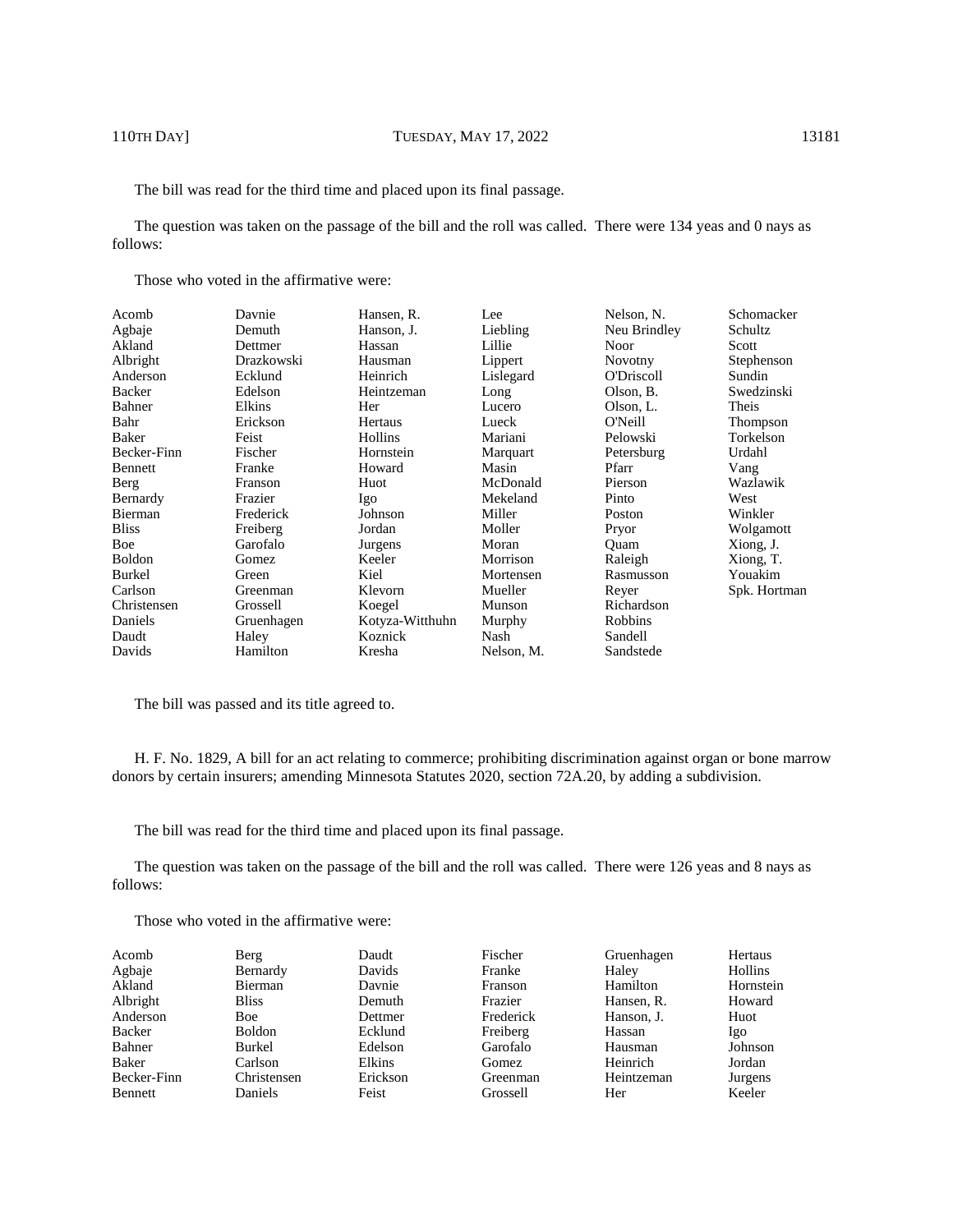The bill was read for the third time and placed upon its final passage.

The question was taken on the passage of the bill and the roll was called. There were 134 yeas and 0 nays as follows:

Those who voted in the affirmative were:

| Acomb         | Davnie     | Hansen, R.      | Lee        | Nelson, N.     | Schomacker   |
|---------------|------------|-----------------|------------|----------------|--------------|
| Agbaje        | Demuth     | Hanson, J.      | Liebling   | Neu Brindley   | Schultz      |
| Akland        | Dettmer    | Hassan          | Lillie     | Noor           | Scott        |
| Albright      | Drazkowski | Hausman         | Lippert    | <b>Novotny</b> | Stephenson   |
| Anderson      | Ecklund    | Heinrich        | Lislegard  | O'Driscoll     | Sundin       |
| Backer        | Edelson    | Heintzeman      | Long       | Olson, B.      | Swedzinski   |
| Bahner        | Elkins     | Her             | Lucero     | Olson, L.      | Theis        |
| Bahr          | Erickson   | Hertaus         | Lueck      | O'Neill        | Thompson     |
| Baker         | Feist      | Hollins         | Mariani    | Pelowski       | Torkelson    |
| Becker-Finn   | Fischer    | Hornstein       | Marquart   | Petersburg     | Urdahl       |
| Bennett       | Franke     | Howard          | Masin      | Pfarr          | Vang         |
| Berg          | Franson    | Huot            | McDonald   | Pierson        | Wazlawik     |
| Bernardy      | Frazier    | Igo             | Mekeland   | Pinto          | West         |
| Bierman       | Frederick  | Johnson         | Miller     | Poston         | Winkler      |
| <b>Bliss</b>  | Freiberg   | Jordan          | Moller     | Pryor          | Wolgamott    |
| Boe           | Garofalo   | Jurgens         | Moran      | Ouam           | Xiong, J.    |
| <b>Boldon</b> | Gomez      | Keeler          | Morrison   | Raleigh        | Xiong, T.    |
| <b>Burkel</b> | Green      | Kiel            | Mortensen  | Rasmusson      | Youakim      |
| Carlson       | Greenman   | Klevorn         | Mueller    | Reyer          | Spk. Hortman |
| Christensen   | Grossell   | Koegel          | Munson     | Richardson     |              |
| Daniels       | Gruenhagen | Kotyza-Witthuhn | Murphy     | Robbins        |              |
| Daudt         | Haley      | Koznick         | Nash       | Sandell        |              |
| Davids        | Hamilton   | Kresha          | Nelson, M. | Sandstede      |              |

The bill was passed and its title agreed to.

H. F. No. 1829, A bill for an act relating to commerce; prohibiting discrimination against organ or bone marrow donors by certain insurers; amending Minnesota Statutes 2020, section 72A.20, by adding a subdivision.

The bill was read for the third time and placed upon its final passage.

The question was taken on the passage of the bill and the roll was called. There were 126 yeas and 8 nays as follows:

| Acomb       | Berg          | Daudt    | Fischer        | Gruenhagen | Hertaus   |
|-------------|---------------|----------|----------------|------------|-----------|
| Agbaje      | Bernardy      | Davids   | Franke         | Haley      | Hollins   |
| Akland      | Bierman       | Davnie   | <b>Franson</b> | Hamilton   | Hornstein |
| Albright    | <b>Bliss</b>  | Demuth   | Frazier        | Hansen, R. | Howard    |
| Anderson    | <b>Boe</b>    | Dettmer  | Frederick      | Hanson, J. | Huot      |
| Backer      | <b>Boldon</b> | Ecklund  | Freiberg       | Hassan     | Igo       |
| Bahner      | <b>Burkel</b> | Edelson  | Garofalo       | Hausman    | Johnson   |
| Baker       | Carlson       | Elkins   | Gomez          | Heinrich   | Jordan    |
| Becker-Finn | Christensen   | Erickson | Greenman       | Heintzeman | Jurgens   |
| Bennett     | Daniels       | Feist    | Grossell       | Her        | Keeler    |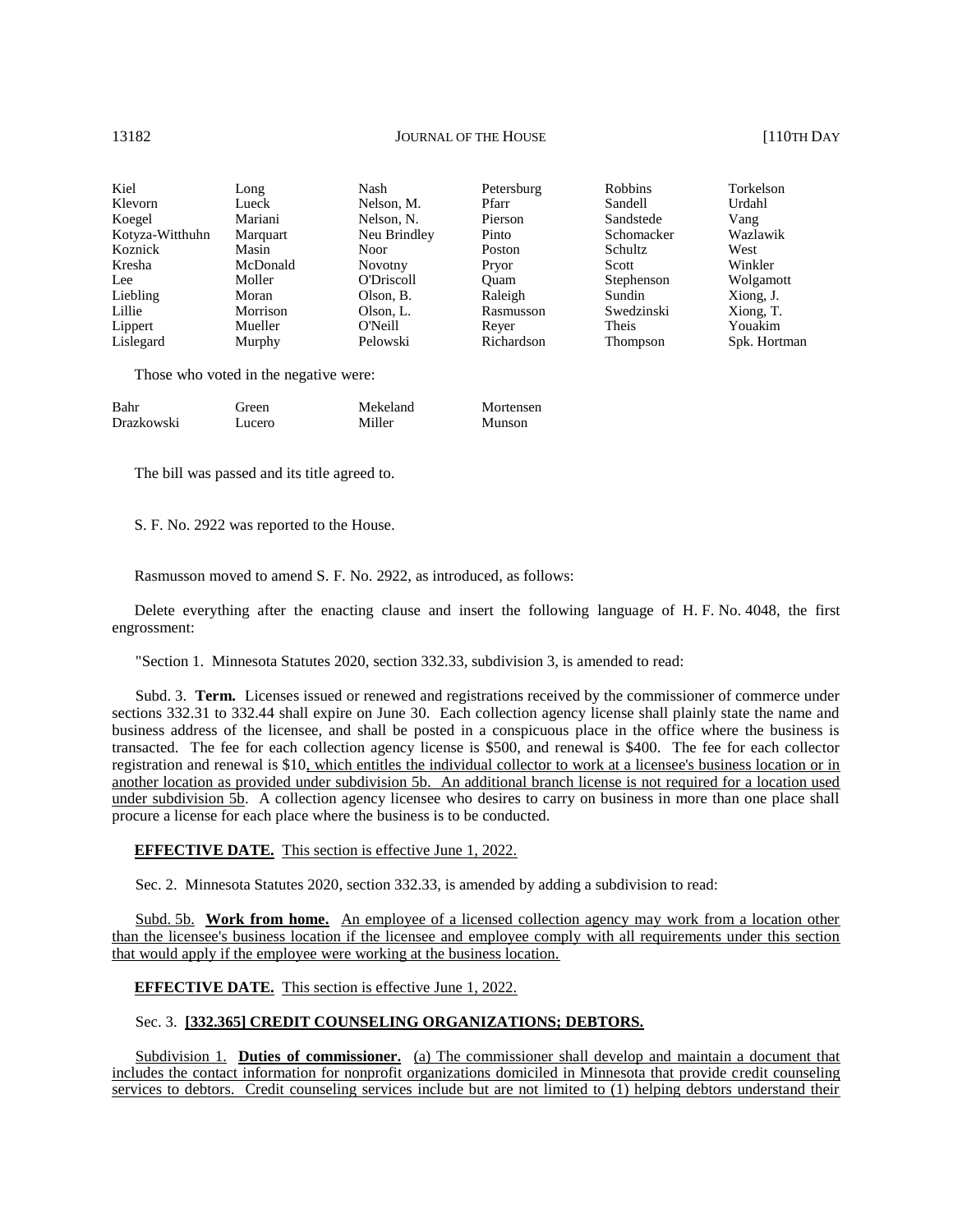| Kiel            | Long     | Nash              | Petersburg | <b>Robbins</b> | Torkelson    |
|-----------------|----------|-------------------|------------|----------------|--------------|
| Klevorn         | Lueck    | Nelson, M.        | Pfarr      | Sandell        | Urdahl       |
| Koegel          | Mariani  | Nelson, N.        | Pierson    | Sandstede      | Vang         |
| Kotyza-Witthuhn | Marquart | Neu Brindley      | Pinto      | Schomacker     | Wazlawik     |
| Koznick         | Masin    | <b>Noor</b>       | Poston     | Schultz        | West         |
| Kresha          | McDonald | <b>Novotny</b>    | Pryor      | Scott          | Winkler      |
| Lee             | Moller   | <b>O'Driscoll</b> | Ouam       | Stephenson     | Wolgamott    |
| Liebling        | Moran    | Olson, B.         | Raleigh    | Sundin         | Xiong, J.    |
| Lillie          | Morrison | Olson, L.         | Rasmusson  | Swedzinski     | Xiong, T.    |
| Lippert         | Mueller  | O'Neill           | Rever      | Theis          | Youakim      |
| Lislegard       | Murphy   | Pelowski          | Richardson | Thompson       | Spk. Hortman |

Those who voted in the negative were:

| Bahr       | Green) | Mekeland | Mortensen |
|------------|--------|----------|-----------|
| Drazkowski | Lucero | Miller   | Munson    |

The bill was passed and its title agreed to.

S. F. No. 2922 was reported to the House.

Rasmusson moved to amend S. F. No. 2922, as introduced, as follows:

Delete everything after the enacting clause and insert the following language of H. F. No. 4048, the first engrossment:

"Section 1. Minnesota Statutes 2020, section 332.33, subdivision 3, is amended to read:

Subd. 3. **Term.** Licenses issued or renewed and registrations received by the commissioner of commerce under sections 332.31 to 332.44 shall expire on June 30. Each collection agency license shall plainly state the name and business address of the licensee, and shall be posted in a conspicuous place in the office where the business is transacted. The fee for each collection agency license is \$500, and renewal is \$400. The fee for each collector registration and renewal is \$10, which entitles the individual collector to work at a licensee's business location or in another location as provided under subdivision 5b. An additional branch license is not required for a location used under subdivision 5b. A collection agency licensee who desires to carry on business in more than one place shall procure a license for each place where the business is to be conducted.

**EFFECTIVE DATE.** This section is effective June 1, 2022.

Sec. 2. Minnesota Statutes 2020, section 332.33, is amended by adding a subdivision to read:

Subd. 5b. **Work from home.** An employee of a licensed collection agency may work from a location other than the licensee's business location if the licensee and employee comply with all requirements under this section that would apply if the employee were working at the business location.

### **EFFECTIVE DATE.** This section is effective June 1, 2022.

# Sec. 3. **[332.365] CREDIT COUNSELING ORGANIZATIONS; DEBTORS.**

Subdivision 1. **Duties of commissioner.** (a) The commissioner shall develop and maintain a document that includes the contact information for nonprofit organizations domiciled in Minnesota that provide credit counseling services to debtors. Credit counseling services include but are not limited to (1) helping debtors understand their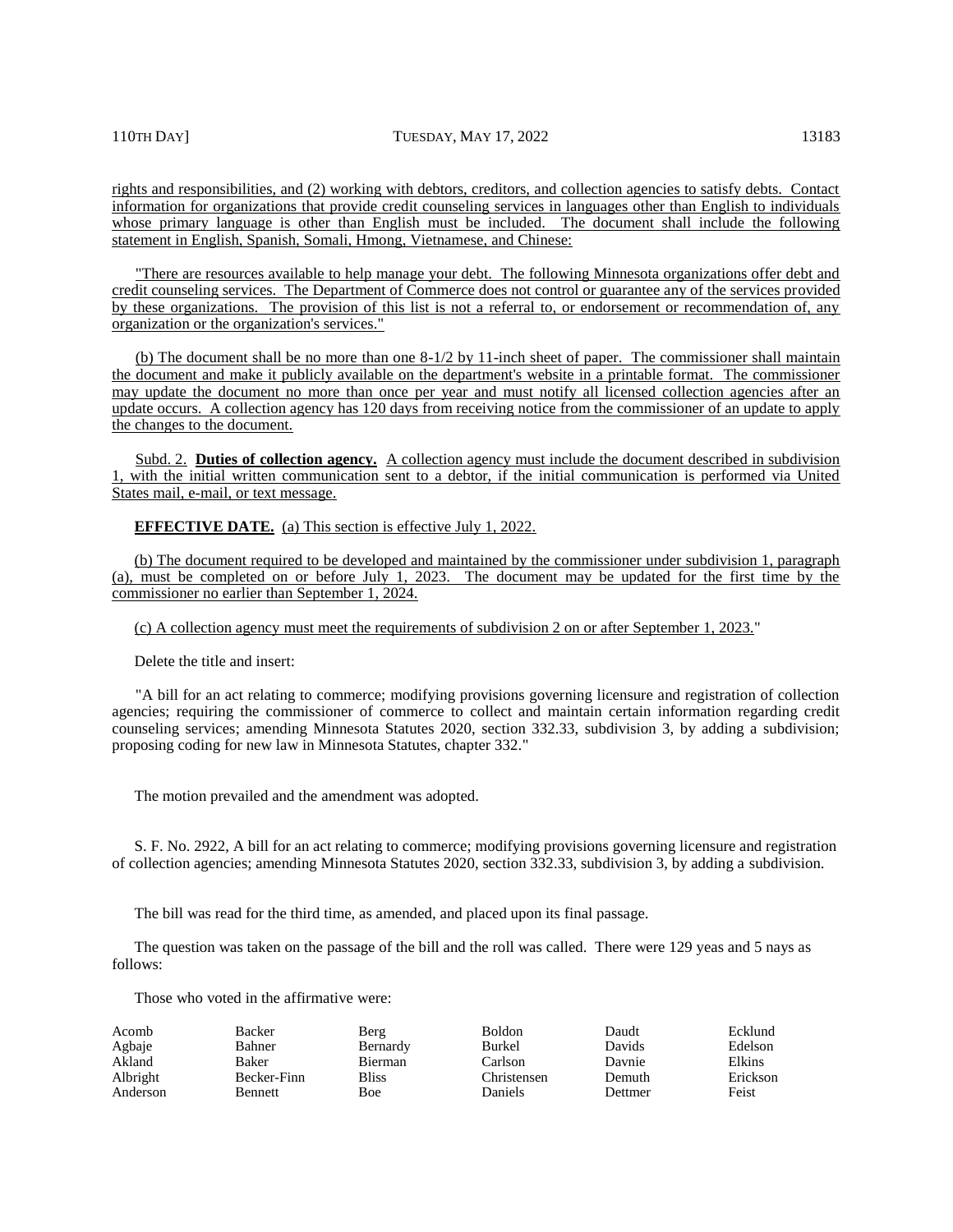rights and responsibilities, and (2) working with debtors, creditors, and collection agencies to satisfy debts. Contact information for organizations that provide credit counseling services in languages other than English to individuals whose primary language is other than English must be included. The document shall include the following statement in English, Spanish, Somali, Hmong, Vietnamese, and Chinese:

"There are resources available to help manage your debt. The following Minnesota organizations offer debt and credit counseling services. The Department of Commerce does not control or guarantee any of the services provided by these organizations. The provision of this list is not a referral to, or endorsement or recommendation of, any organization or the organization's services."

(b) The document shall be no more than one 8-1/2 by 11-inch sheet of paper. The commissioner shall maintain the document and make it publicly available on the department's website in a printable format. The commissioner may update the document no more than once per year and must notify all licensed collection agencies after an update occurs. A collection agency has 120 days from receiving notice from the commissioner of an update to apply the changes to the document.

Subd. 2. **Duties of collection agency.** A collection agency must include the document described in subdivision 1, with the initial written communication sent to a debtor, if the initial communication is performed via United States mail, e-mail, or text message.

**EFFECTIVE DATE.** (a) This section is effective July 1, 2022.

(b) The document required to be developed and maintained by the commissioner under subdivision 1, paragraph (a), must be completed on or before July 1, 2023. The document may be updated for the first time by the commissioner no earlier than September 1, 2024.

(c) A collection agency must meet the requirements of subdivision 2 on or after September 1, 2023."

Delete the title and insert:

"A bill for an act relating to commerce; modifying provisions governing licensure and registration of collection agencies; requiring the commissioner of commerce to collect and maintain certain information regarding credit counseling services; amending Minnesota Statutes 2020, section 332.33, subdivision 3, by adding a subdivision; proposing coding for new law in Minnesota Statutes, chapter 332."

The motion prevailed and the amendment was adopted.

S. F. No. 2922, A bill for an act relating to commerce; modifying provisions governing licensure and registration of collection agencies; amending Minnesota Statutes 2020, section 332.33, subdivision 3, by adding a subdivision.

The bill was read for the third time, as amended, and placed upon its final passage.

The question was taken on the passage of the bill and the roll was called. There were 129 yeas and 5 nays as follows:

| Acomb    | Backer         | Berg           | <b>Boldon</b>  | Daudt   | Ecklund  |
|----------|----------------|----------------|----------------|---------|----------|
| Agbaje   | Bahner         | Bernardy       | Burkel         | Davids  | Edelson  |
| Akland   | Baker          | <b>Bierman</b> | Carlson        | Davnie  | Elkins   |
| Albright | Becker-Finn    | <b>Bliss</b>   | Christensen    | Demuth  | Erickson |
| Anderson | <b>Bennett</b> | Boe            | <b>Daniels</b> | Dettmer | Feist    |